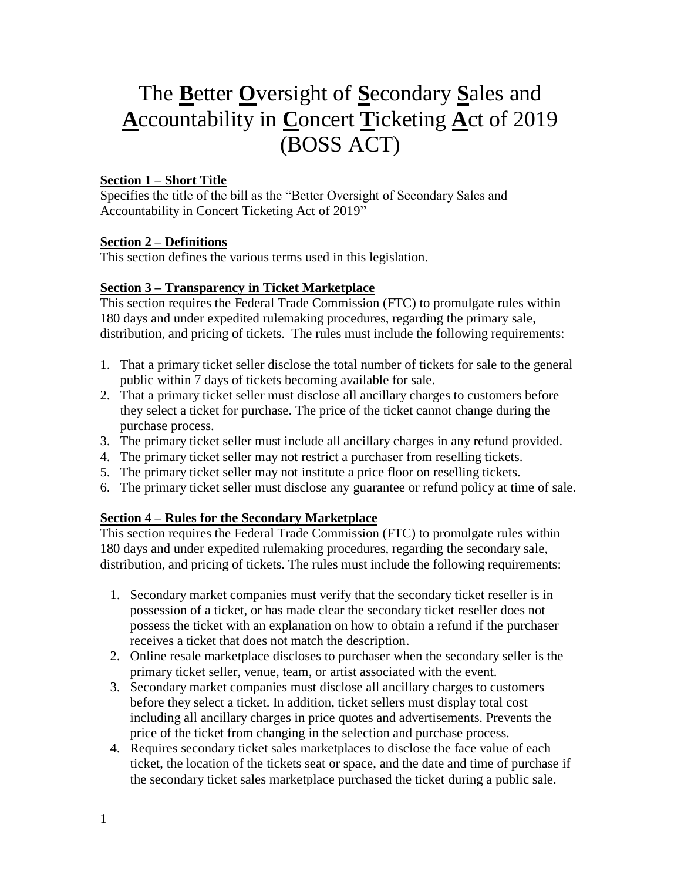# The **B**etter **O**versight of **S**econdary **S**ales and **A**ccountability in **C**oncert **T**icketing **A**ct of 2019 (BOSS ACT)

## **Section 1 – Short Title**

Specifies the title of the bill as the "Better Oversight of Secondary Sales and Accountability in Concert Ticketing Act of 2019"

### **Section 2 – Definitions**

This section defines the various terms used in this legislation.

### **Section 3 – Transparency in Ticket Marketplace**

This section requires the Federal Trade Commission (FTC) to promulgate rules within 180 days and under expedited rulemaking procedures, regarding the primary sale, distribution, and pricing of tickets. The rules must include the following requirements:

- 1. That a primary ticket seller disclose the total number of tickets for sale to the general public within 7 days of tickets becoming available for sale.
- 2. That a primary ticket seller must disclose all ancillary charges to customers before they select a ticket for purchase. The price of the ticket cannot change during the purchase process.
- 3. The primary ticket seller must include all ancillary charges in any refund provided.
- 4. The primary ticket seller may not restrict a purchaser from reselling tickets.
- 5. The primary ticket seller may not institute a price floor on reselling tickets.
- 6. The primary ticket seller must disclose any guarantee or refund policy at time of sale.

### **Section 4 – Rules for the Secondary Marketplace**

This section requires the Federal Trade Commission (FTC) to promulgate rules within 180 days and under expedited rulemaking procedures, regarding the secondary sale, distribution, and pricing of tickets. The rules must include the following requirements:

- 1. Secondary market companies must verify that the secondary ticket reseller is in possession of a ticket, or has made clear the secondary ticket reseller does not possess the ticket with an explanation on how to obtain a refund if the purchaser receives a ticket that does not match the description.
- 2. Online resale marketplace discloses to purchaser when the secondary seller is the primary ticket seller, venue, team, or artist associated with the event.
- 3. Secondary market companies must disclose all ancillary charges to customers before they select a ticket. In addition, ticket sellers must display total cost including all ancillary charges in price quotes and advertisements. Prevents the price of the ticket from changing in the selection and purchase process.
- 4. Requires secondary ticket sales marketplaces to disclose the face value of each ticket, the location of the tickets seat or space, and the date and time of purchase if the secondary ticket sales marketplace purchased the ticket during a public sale.